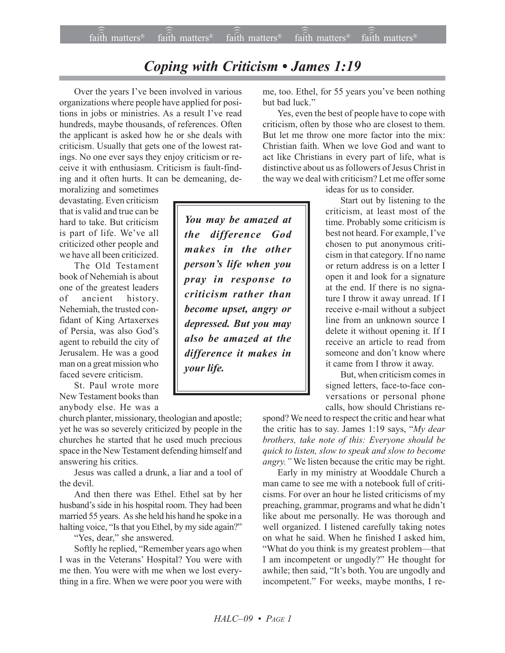## *Coping with Criticism • James 1:19*

Over the years I've been involved in various organizations where people have applied for positions in jobs or ministries. As a result I've read hundreds, maybe thousands, of references. Often the applicant is asked how he or she deals with criticism. Usually that gets one of the lowest ratings. No one ever says they enjoy criticism or receive it with enthusiasm. Criticism is fault-finding and it often hurts. It can be demeaning, de-

moralizing and sometimes devastating. Even criticism that is valid and true can be hard to take. But criticism is part of life. We've all criticized other people and we have all been criticized.

The Old Testament book of Nehemiah is about one of the greatest leaders of ancient history. Nehemiah, the trusted confidant of King Artaxerxes of Persia, was also God's agent to rebuild the city of Jerusalem. He was a good man on a great mission who faced severe criticism.

St. Paul wrote more New Testament books than anybody else. He was a

church planter, missionary, theologian and apostle; yet he was so severely criticized by people in the churches he started that he used much precious space in the New Testament defending himself and answering his critics.

Jesus was called a drunk, a liar and a tool of the devil.

And then there was Ethel. Ethel sat by her husband's side in his hospital room. They had been married 55 years. As she held his hand he spoke in a halting voice, "Is that you Ethel, by my side again?"

"Yes, dear," she answered.

Softly he replied, "Remember years ago when I was in the Veterans' Hospital? You were with me then. You were with me when we lost everything in a fire. When we were poor you were with

*You may be amazed at the difference God makes in the other personís life when you pray in response to criticism rather than become upset, angry or depressed. But you may also be amazed at the difference it makes in your life.*

me, too. Ethel, for 55 years you've been nothing but bad luck.<sup>"</sup>

Yes, even the best of people have to cope with criticism, often by those who are closest to them. But let me throw one more factor into the mix: Christian faith. When we love God and want to act like Christians in every part of life, what is distinctive about us as followers of Jesus Christ in the way we deal with criticism? Let me offer some

ideas for us to consider.

Start out by listening to the criticism, at least most of the time. Probably some criticism is best not heard. For example, I've chosen to put anonymous criticism in that category. If no name or return address is on a letter I open it and look for a signature at the end. If there is no signature I throw it away unread. If I receive e-mail without a subject line from an unknown source I delete it without opening it. If I receive an article to read from someone and don't know where it came from I throw it away.

But, when criticism comes in signed letters, face-to-face conversations or personal phone calls, how should Christians re-

spond? We need to respect the critic and hear what the critic has to say. James 1:19 says, "My dear *brothers, take note of this: Everyone should be quick to listen, slow to speak and slow to become angry.*" We listen because the critic may be right.

Early in my ministry at Wooddale Church a man came to see me with a notebook full of criticisms. For over an hour he listed criticisms of my preaching, grammar, programs and what he didn't like about me personally. He was thorough and well organized. I listened carefully taking notes on what he said. When he finished I asked him, "What do you think is my greatest problem—that I am incompetent or ungodly?" He thought for awhile; then said, "It's both. You are ungodly and incompetent." For weeks, maybe months, I re-

*HALCñ09 ï PAGE 1*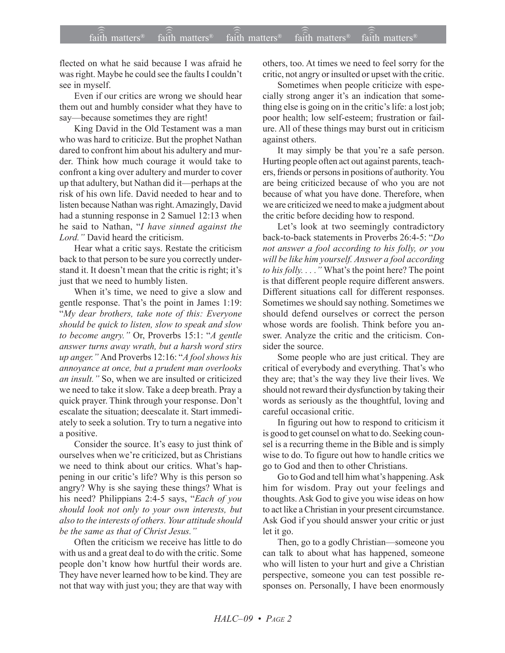flected on what he said because I was afraid he was right. Maybe he could see the faults I couldn't see in myself.

Even if our critics are wrong we should hear them out and humbly consider what they have to say—because sometimes they are right!

King David in the Old Testament was a man who was hard to criticize. But the prophet Nathan dared to confront him about his adultery and murder. Think how much courage it would take to confront a king over adultery and murder to cover up that adultery, but Nathan did it—perhaps at the risk of his own life. David needed to hear and to listen because Nathan was right. Amazingly, David had a stunning response in 2 Samuel 12:13 when he said to Nathan, "I have sinned against the Lord." David heard the criticism.

Hear what a critic says. Restate the criticism back to that person to be sure you correctly understand it. It doesn't mean that the critic is right; it's just that we need to humbly listen.

When it's time, we need to give a slow and gentle response. That's the point in James 1:19: "My dear brothers, take note of this: Everyone should be quick to listen, slow to speak and slow to become angry." Or, Proverbs 15:1: "A gentle answer turns away wrath, but a harsh word stirs up anger." And Proverbs 12:16: "A fool shows his annoyance at once, but a prudent man overlooks an insult." So, when we are insulted or criticized we need to take it slow. Take a deep breath. Pray a quick prayer. Think through your response. Don't escalate the situation; deescalate it. Start immediately to seek a solution. Try to turn a negative into a positive.

Consider the source. It's easy to just think of ourselves when we're criticized, but as Christians we need to think about our critics. What's happening in our critic's life? Why is this person so angry? Why is she saying these things? What is his need? Philippians 2:4-5 says, "Each of you should look not only to your own interests, but also to the interests of others. Your attitude should be the same as that of Christ Jesus."

Often the criticism we receive has little to do with us and a great deal to do with the critic. Some people don't know how hurtful their words are. They have never learned how to be kind. They are not that way with just you; they are that way with others, too. At times we need to feel sorry for the critic, not angry or insulted or upset with the critic.

Sometimes when people criticize with especially strong anger it's an indication that something else is going on in the critic's life: a lost job; poor health; low self-esteem; frustration or failure. All of these things may burst out in criticism against others.

It may simply be that you're a safe person. Hurting people often act out against parents, teachers, friends or persons in positions of authority. You are being criticized because of who you are not because of what you have done. Therefore, when we are criticized we need to make a judgment about the critic before deciding how to respond.

Let's look at two seemingly contradictory back-to-back statements in Proverbs 26:4-5: "Do not answer a fool according to his folly, or you will be like him yourself. Answer a fool according to his folly...." What's the point here? The point is that different people require different answers. Different situations call for different responses. Sometimes we should say nothing. Sometimes we should defend ourselves or correct the person whose words are foolish. Think before you answer. Analyze the critic and the criticism. Consider the source

Some people who are just critical. They are critical of everybody and everything. That's who they are; that's the way they live their lives. We should not reward their dysfunction by taking their words as seriously as the thoughtful, loving and careful occasional critic.

In figuring out how to respond to criticism it is good to get counsel on what to do. Seeking counsel is a recurring theme in the Bible and is simply wise to do. To figure out how to handle critics we go to God and then to other Christians.

Go to God and tell him what's happening. Ask him for wisdom. Pray out your feelings and thoughts. Ask God to give you wise ideas on how to act like a Christian in your present circumstance. Ask God if you should answer your critic or just let it go.

Then, go to a godly Christian-someone you can talk to about what has happened, someone who will listen to your hurt and give a Christian perspective, someone you can test possible responses on. Personally, I have been enormously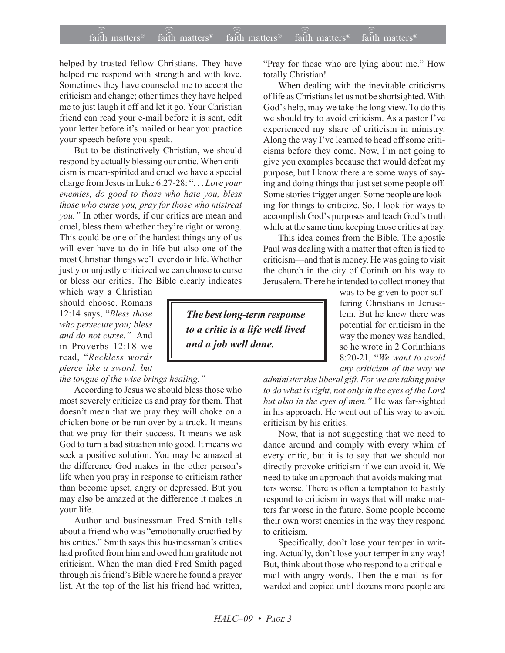## $\widehat{\widehat{\mathfrak{tair}}}$  matters  $\widehat{\widehat{\mathfrak{tair}}}$  matters  $\widehat{\widehat{\mathfrak{tair}}}$  matters  $\widehat{\widehat{\mathfrak{tair}}}$  matters  $\widehat{\widehat{\mathfrak{se}}}$  faith matters faith matters<sup>®</sup> faith matters<sup>®</sup> faith matters

helped by trusted fellow Christians. They have helped me respond with strength and with love. Sometimes they have counseled me to accept the criticism and change; other times they have helped me to just laugh it off and let it go. Your Christian friend can read your e-mail before it is sent, edit your letter before it's mailed or hear you practice your speech before you speak.

But to be distinctively Christian, we should respond by actually blessing our critic. When criticism is mean-spirited and cruel we have a special charge from Jesus in Luke 6:27-28: "... *Love your enemies, do good to those who hate you, bless those who curse you, pray for those who mistreat you.î* In other words, if our critics are mean and cruel, bless them whether they're right or wrong. This could be one of the hardest things any of us will ever have to do in life but also one of the most Christian things we'll ever do in life. Whether justly or unjustly criticized we can choose to curse or bless our critics. The Bible clearly indicates

which way a Christian should choose. Romans 12:14 says, "Bless those *who persecute you; bless* and *do not curse.*" And in Proverbs 12:18 we read, "Reckless words *pierce like a sword, but*

## *the tongue of the wise brings healing.*"

According to Jesus we should bless those who most severely criticize us and pray for them. That doesn't mean that we pray they will choke on a chicken bone or be run over by a truck. It means that we pray for their success. It means we ask God to turn a bad situation into good. It means we seek a positive solution. You may be amazed at the difference God makes in the other person's life when you pray in response to criticism rather than become upset, angry or depressed. But you may also be amazed at the difference it makes in your life.

Author and businessman Fred Smith tells about a friend who was "emotionally crucified by his critics." Smith says this businessman's critics had profited from him and owed him gratitude not criticism. When the man died Fred Smith paged through his friend's Bible where he found a prayer list. At the top of the list his friend had written,

*The best long-term response to a critic is a life well lived and a job well done.*

"Pray for those who are lying about me." How totally Christian!

When dealing with the inevitable criticisms of life as Christians let us not be shortsighted. With God's help, may we take the long view. To do this we should try to avoid criticism. As a pastor I've experienced my share of criticism in ministry. Along the way I've learned to head off some criticisms before they come. Now, I'm not going to give you examples because that would defeat my purpose, but I know there are some ways of saying and doing things that just set some people off. Some stories trigger anger. Some people are looking for things to criticize. So, I look for ways to accomplish God's purposes and teach God's truth while at the same time keeping those critics at bay.

This idea comes from the Bible. The apostle Paul was dealing with a matter that often is tied to criticism—and that is money. He was going to visit the church in the city of Corinth on his way to Jerusalem. There he intended to collect money that

> was to be given to poor suffering Christians in Jerusalem. But he knew there was potential for criticism in the way the money was handled, so he wrote in 2 Corinthians 8:20-21, "We want to avoid *any criticism of the way we*

*administer this liberal gift. For we are taking pains to do what is right, not only in the eyes of the Lord but also in the eyes of men.*" He was far-sighted in his approach. He went out of his way to avoid criticism by his critics.

Now, that is not suggesting that we need to dance around and comply with every whim of every critic, but it is to say that we should not directly provoke criticism if we can avoid it. We need to take an approach that avoids making matters worse. There is often a temptation to hastily respond to criticism in ways that will make matters far worse in the future. Some people become their own worst enemies in the way they respond to criticism.

Specifically, don't lose your temper in writing. Actually, don't lose your temper in any way! But, think about those who respond to a critical email with angry words. Then the e-mail is forwarded and copied until dozens more people are